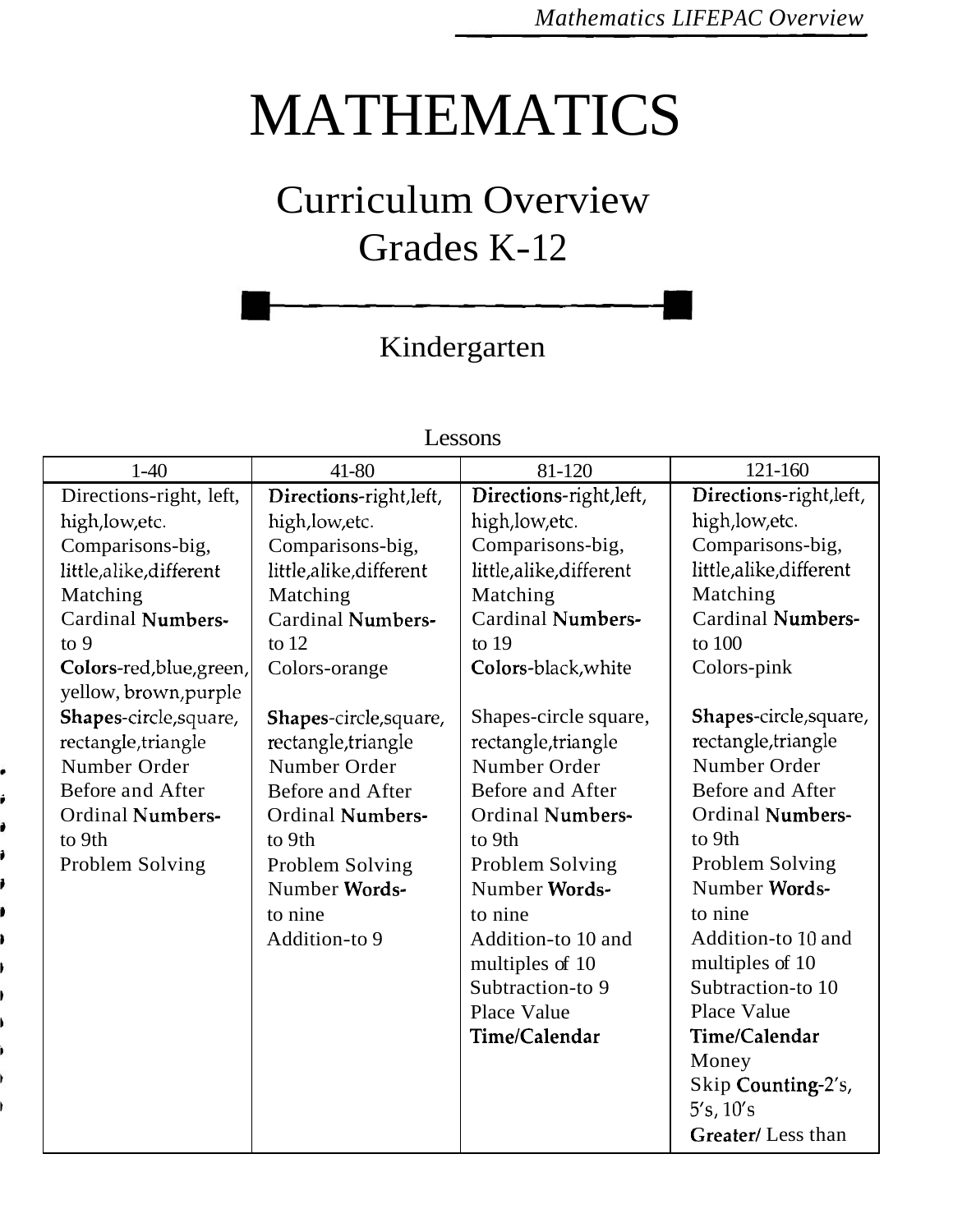# MATHEMATICS

# Curriculum Overview Grades K-12

## Kindergarten

| $1-40$                   | 41-80                    | 81-120                   | 121-160                  |
|--------------------------|--------------------------|--------------------------|--------------------------|
| Directions-right, left,  | Directions-right, left,  | Directions-right, left,  | Directions-right, left,  |
| high, low, etc.          | high, low, etc.          | high, low, etc.          | high, low, etc.          |
| Comparisons-big,         | Comparisons-big,         | Comparisons-big,         | Comparisons-big,         |
| little,alike,different   | little,alike,different   | little,alike,different   | little,alike,different   |
| Matching                 | Matching                 | Matching                 | Matching                 |
| Cardinal Numbers-        | <b>Cardinal Numbers-</b> | <b>Cardinal Numbers-</b> | <b>Cardinal Numbers-</b> |
| to 9                     | to $12$                  | to $19$                  | to 100                   |
| Colors-red, blue, green, | Colors-orange            | Colors-black, white      | Colors-pink              |
| yellow, brown, purple    |                          |                          |                          |
| Shapes-circle, square,   | Shapes-circle, square,   | Shapes-circle square,    | Shapes-circle, square,   |
| rectangle, triangle      | rectangle, triangle      | rectangle, triangle      | rectangle, triangle      |
| Number Order             | Number Order             | Number Order             | Number Order             |
| Before and After         | Before and After         | Before and After         | Before and After         |
| <b>Ordinal Numbers-</b>  | <b>Ordinal Numbers-</b>  | <b>Ordinal Numbers-</b>  | <b>Ordinal Numbers-</b>  |
| to 9th                   | to 9th                   | to 9th                   | to 9th                   |
| Problem Solving          | Problem Solving          | Problem Solving          | Problem Solving          |
|                          | Number Words-            | Number Words-            | Number Words-            |
|                          | to nine                  | to nine                  | to nine                  |
|                          | Addition-to 9            | Addition-to 10 and       | Addition-to 10 and       |
|                          |                          | multiples of 10          | multiples of 10          |
|                          |                          | Subtraction-to 9         | Subtraction-to 10        |
|                          |                          | Place Value              | Place Value              |
|                          |                          | Time/Calendar            | Time/Calendar            |
|                          |                          |                          | Money                    |
|                          |                          |                          | Skip Counting-2's,       |
|                          |                          |                          | 5's, 10's                |
|                          |                          |                          | Greater/Less than        |

### Lessons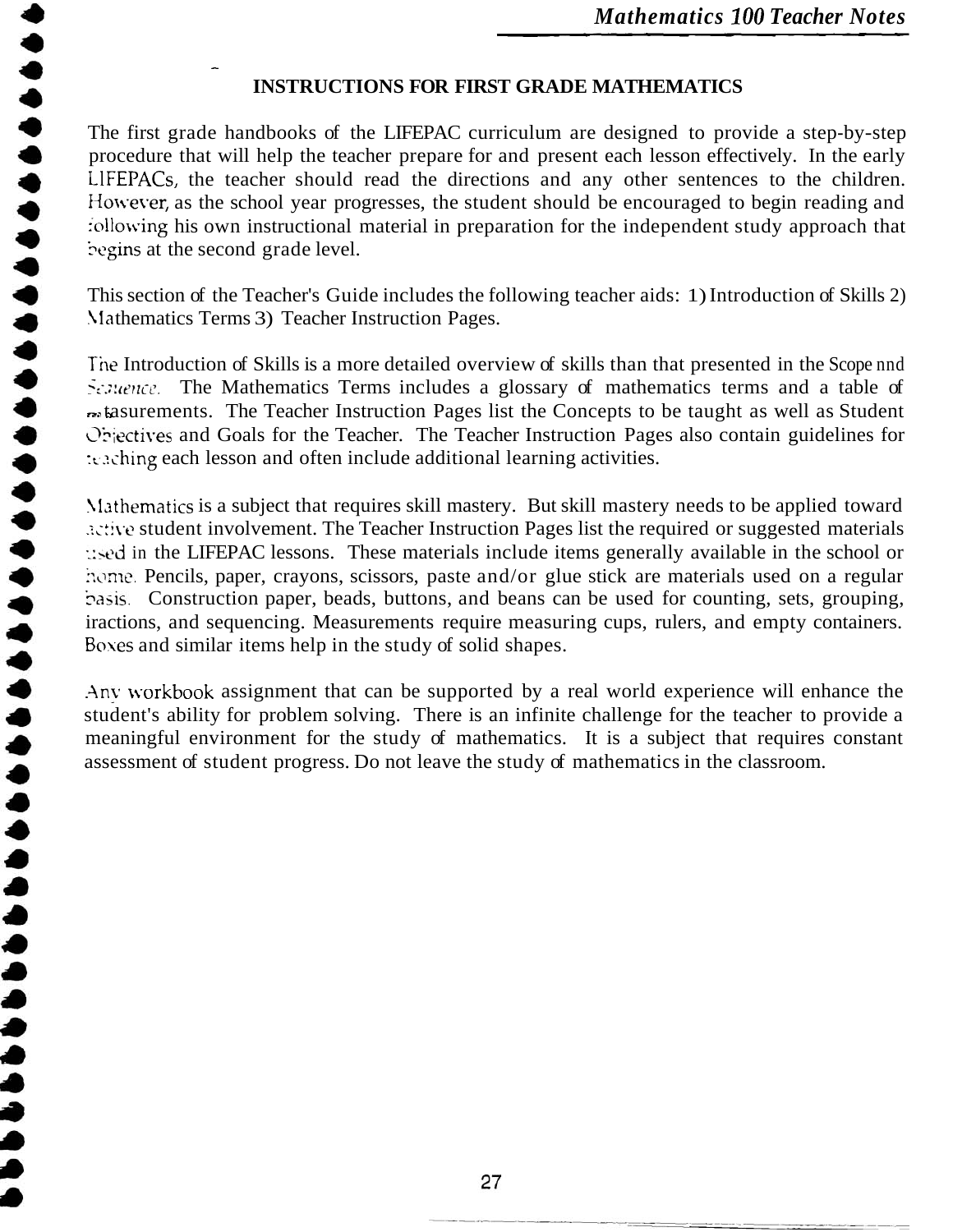### - **INSTRUCTIONS FOR FIRST GRADE MATHEMATICS**

The first grade handbooks of the LIFEPAC curriculum are designed to provide a step-by-step procedure that will help the teacher prepare for and present each lesson effectively. In the early LlFEPACs, the teacher should read the directions and any other sentences to the children. However, as the school year progresses, the student should be encouraged to begin reading and : ollowing his own instructional material in preparation for the independent study approach that begins at the second grade level.

This section of the Teacher's Guide includes the following teacher aids: 1) Introduction of Skills 2) Mathematics Terms 3) Teacher Instruction Pages.

The Introduction of Skills is a more detailed overview of skills than that presented in the Scope nnd Septence. The Mathematics Terms includes a glossary of mathematics terms and a table of  $\sim$  **tasurements.** The Teacher Instruction Pages list the Concepts to be taught as well as Student Chiectives and Goals for the Teacher. The Teacher Instruction Pages also contain guidelines for teaching each lesson and often include additional learning activities.

Mathematics is a subject that requires skill mastery. But skill mastery needs to be applied toward **Extive student involvement. The Teacher Instruction Pages list the required or suggested materials** used in the LIFEPAC lessons. These materials include items generally available in the school or home. Pencils, paper, crayons, scissors, paste and/or glue stick are materials used on a regular basis. Construction paper, beads, buttons, and beans can be used for counting, sets, grouping, iractions, and sequencing. Measurements require measuring cups, rulers, and empty containers. Boxes and similar items help in the study of solid shapes.

.Any ivorkbook assignment that can be supported by a real world experience will enhance the student's ability for problem solving. There is an infinite challenge for the teacher to provide a meaningful environment for the study of mathematics. It is a subject that requires constant assessment of student progress. Do not leave the study of mathematics in the classroom.